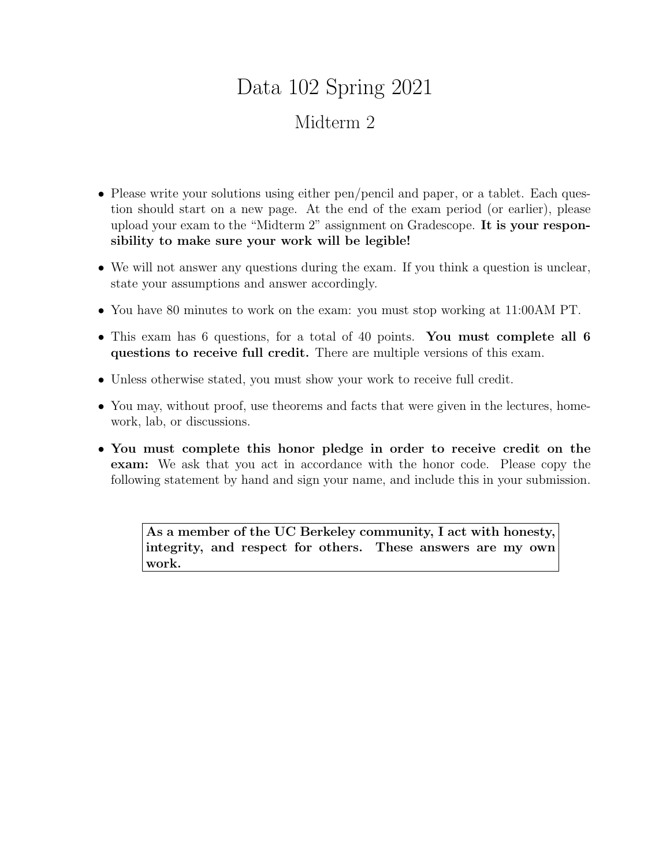# Data 102 Spring 2021 Midterm 2

- Please write your solutions using either pen/pencil and paper, or a tablet. Each question should start on a new page. At the end of the exam period (or earlier), please upload your exam to the "Midterm 2" assignment on Gradescope. It is your responsibility to make sure your work will be legible!
- We will not answer any questions during the exam. If you think a question is unclear, state your assumptions and answer accordingly.
- You have 80 minutes to work on the exam: you must stop working at 11:00AM PT.
- This exam has 6 questions, for a total of 40 points. You must complete all 6 questions to receive full credit. There are multiple versions of this exam.
- Unless otherwise stated, you must show your work to receive full credit.
- You may, without proof, use theorems and facts that were given in the lectures, homework, lab, or discussions.
- You must complete this honor pledge in order to receive credit on the exam: We ask that you act in accordance with the honor code. Please copy the following statement by hand and sign your name, and include this in your submission.

As a member of the UC Berkeley community, I act with honesty, integrity, and respect for others. These answers are my own work.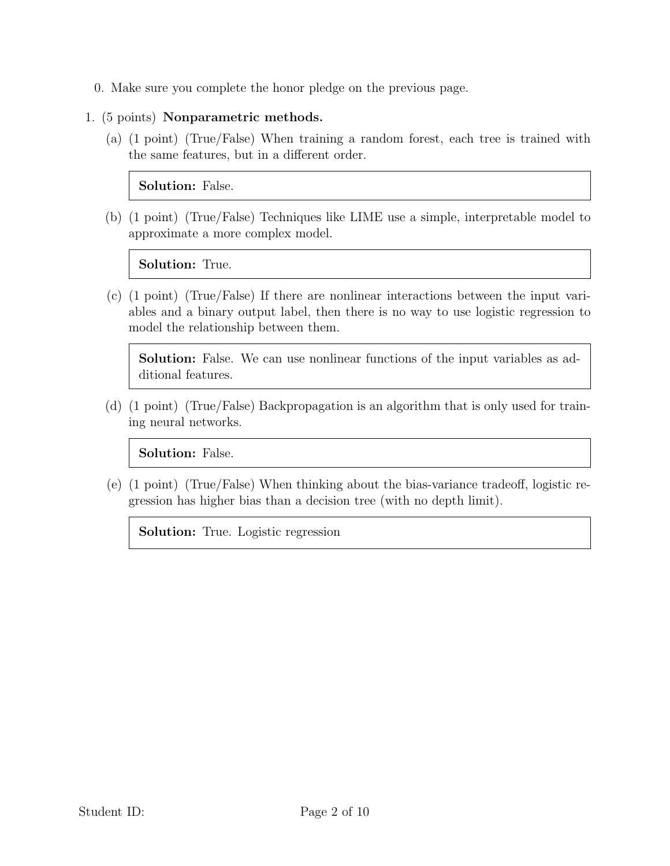- 0. Make sure you complete the honor pledge on the previous page.
- 1. (5 points) Nonparametric methods.
	- (a) (1 point) (True/False) When training a random forest, each tree is trained with the same features, but in a different order.

Solution: False.

(b) (1 point) (True/False) Techniques like LIME use a simple, interpretable model to approximate a more complex model.

Solution: True.

(c) (1 point) (True/False) If there are nonlinear interactions between the input variables and a binary output label, then there is no way to use logistic regression to model the relationship between them.

Solution: False. We can use nonlinear functions of the input variables as additional features.

(d) (1 point) (True/False) Backpropagation is an algorithm that is only used for training neural networks.

Solution: False.

(e) (1 point) (True/False) When thinking about the bias-variance tradeoff, logistic regression has higher bias than a decision tree (with no depth limit).

Solution: True. Logistic regression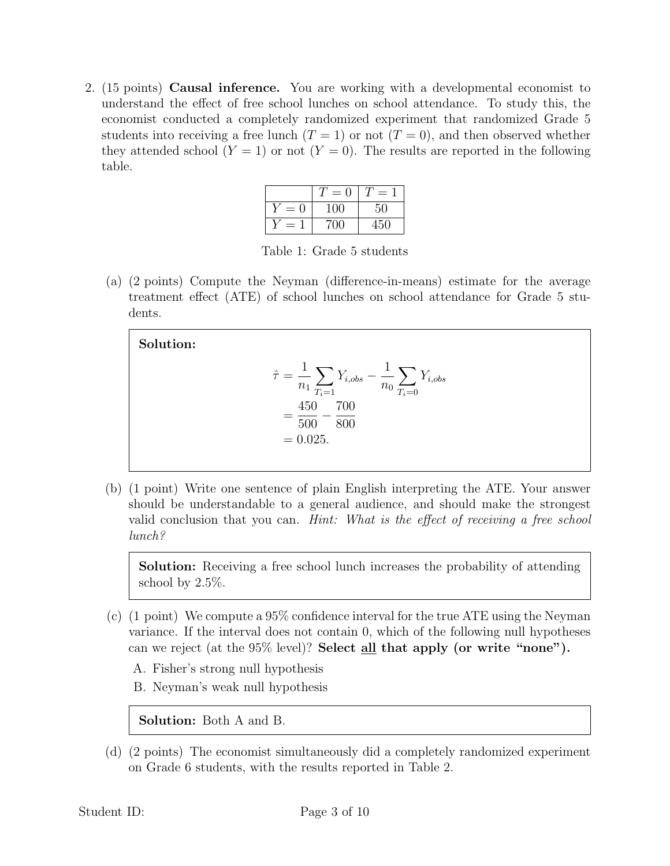2. (15 points) Causal inference. You are working with a developmental economist to understand the effect of free school lunches on school attendance. To study this, the economist conducted a completely randomized experiment that randomized Grade 5 students into receiving a free lunch  $(T = 1)$  or not  $(T = 0)$ , and then observed whether they attended school  $(Y = 1)$  or not  $(Y = 0)$ . The results are reported in the following table.

|       | $= 0$ | $=$ |
|-------|-------|-----|
| $= 0$ | 100   | 50  |
| =     | 700   | 450 |

Table 1: Grade 5 students

(a) (2 points) Compute the Neyman (difference-in-means) estimate for the average treatment effect (ATE) of school lunches on school attendance for Grade 5 students.

#### Solution:  $\hat{\tau} =$ 1  $n_1$  $\sum$  $T_i=1$  $Y_{i,obs} - \frac{1}{\cdot}$  $n_0$  $\sum$  $T_i=0$  $Y_{i,obs}$ = 450 500  $-\frac{700}{000}$ 800  $= 0.025.$

(b) (1 point) Write one sentence of plain English interpreting the ATE. Your answer should be understandable to a general audience, and should make the strongest valid conclusion that you can. Hint: What is the effect of receiving a free school lunch?

Solution: Receiving a free school lunch increases the probability of attending school by 2.5%.

- (c) (1 point) We compute a 95% confidence interval for the true ATE using the Neyman variance. If the interval does not contain 0, which of the following null hypotheses can we reject (at the 95% level)? Select all that apply (or write "none").
	- A. Fisher's strong null hypothesis
	- B. Neyman's weak null hypothesis

Solution: Both A and B.

(d) (2 points) The economist simultaneously did a completely randomized experiment on Grade 6 students, with the results reported in Table 2.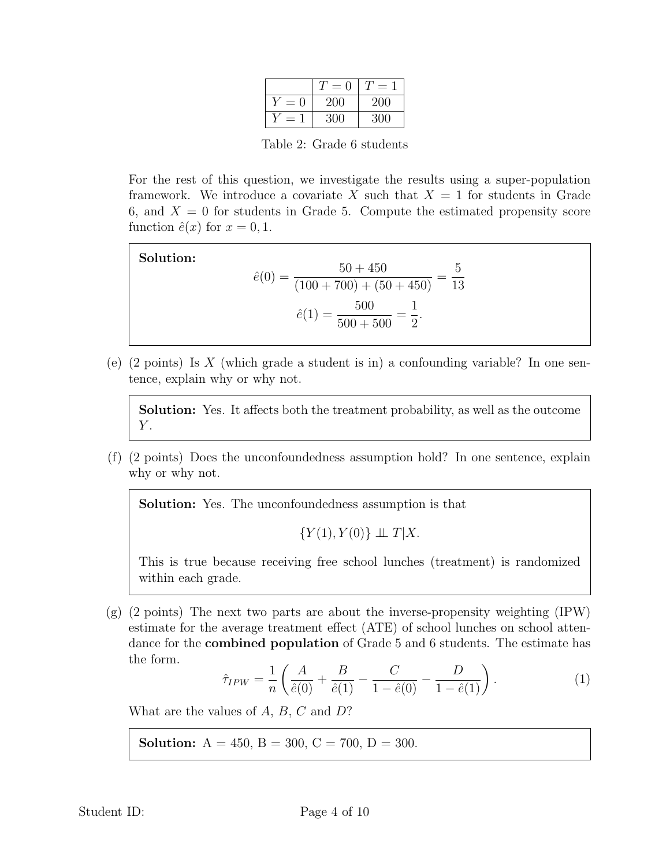|   | 0<br>$=$ |     |
|---|----------|-----|
| = | 200      | 200 |
|   | 300      | 300 |

Table 2: Grade 6 students

For the rest of this question, we investigate the results using a super-population framework. We introduce a covariate X such that  $X = 1$  for students in Grade 6, and  $X = 0$  for students in Grade 5. Compute the estimated propensity score function  $\hat{e}(x)$  for  $x = 0, 1$ .

Solution:  
\n
$$
\hat{e}(0) = \frac{50 + 450}{(100 + 700) + (50 + 450)} = \frac{5}{13}
$$
\n
$$
\hat{e}(1) = \frac{500}{500 + 500} = \frac{1}{2}.
$$

(e)  $(2 \text{ points})$  Is X (which grade a student is in) a confounding variable? In one sentence, explain why or why not.

Solution: Yes. It affects both the treatment probability, as well as the outcome  $Y$ .

(f) (2 points) Does the unconfoundedness assumption hold? In one sentence, explain why or why not.

Solution: Yes. The unconfoundedness assumption is that

 ${Y(1), Y(0)} \perp T|X.$ 

This is true because receiving free school lunches (treatment) is randomized within each grade.

(g) (2 points) The next two parts are about the inverse-propensity weighting (IPW) estimate for the average treatment effect (ATE) of school lunches on school attendance for the combined population of Grade 5 and 6 students. The estimate has the form.

$$
\hat{\tau}_{IPW} = \frac{1}{n} \left( \frac{A}{\hat{e}(0)} + \frac{B}{\hat{e}(1)} - \frac{C}{1 - \hat{e}(0)} - \frac{D}{1 - \hat{e}(1)} \right). \tag{1}
$$

What are the values of  $A, B, C$  and  $D$ ?

**Solution:**  $A = 450$ ,  $B = 300$ ,  $C = 700$ ,  $D = 300$ .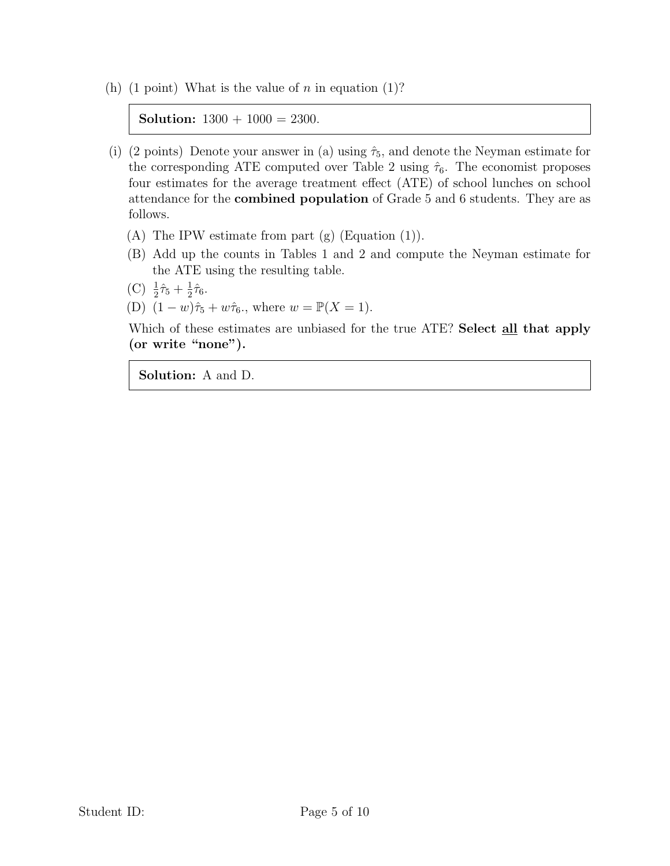(h) (1 point) What is the value of n in equation (1)?

**Solution:**  $1300 + 1000 = 2300$ .

- (i) (2 points) Denote your answer in (a) using  $\hat{\tau}_5$ , and denote the Neyman estimate for the corresponding ATE computed over Table 2 using  $\hat{\tau}_6$ . The economist proposes four estimates for the average treatment effect (ATE) of school lunches on school attendance for the combined population of Grade 5 and 6 students. They are as follows.
	- (A) The IPW estimate from part (g) (Equation (1)).
	- (B) Add up the counts in Tables 1 and 2 and compute the Neyman estimate for the ATE using the resulting table.
	- (C)  $\frac{1}{2}\hat{\tau}_5 + \frac{1}{2}$  $rac{1}{2}\hat{\tau}_6$ .
	- (D)  $(1 w)\hat{\tau}_5 + w\hat{\tau}_6$ , where  $w = \mathbb{P}(X = 1)$ .

Which of these estimates are unbiased for the true ATE? Select all that apply (or write "none").

Solution: A and D.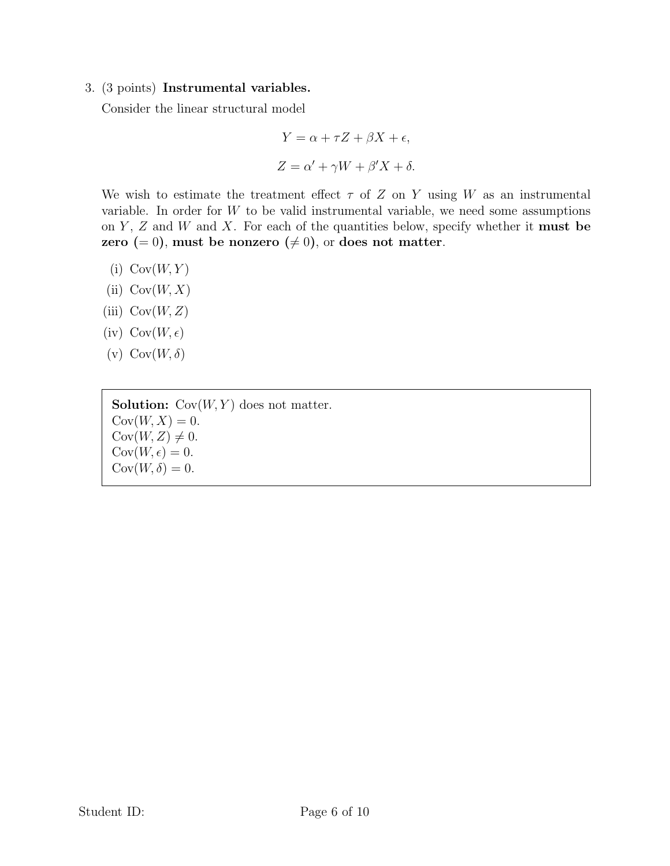## 3. (3 points) Instrumental variables.

Consider the linear structural model

$$
Y = \alpha + \tau Z + \beta X + \epsilon,
$$
  

$$
Z = \alpha' + \gamma W + \beta' X + \delta.
$$

We wish to estimate the treatment effect  $\tau$  of Z on Y using W as an instrumental variable. In order for  $W$  to be valid instrumental variable, we need some assumptions on Y, Z and W and X. For each of the quantities below, specify whether it **must** be zero (= 0), must be nonzero ( $\neq$  0), or does not matter.

- $(i) \text{Cov}(W, Y)$
- (ii)  $Cov(W, X)$
- (iii)  $Cov(W, Z)$
- $(iv) Cov(W, \epsilon)$
- (v)  $\text{Cov}(W, \delta)$

**Solution:**  $Cov(W, Y)$  does not matter.  $Cov(W, X) = 0.$  $Cov(W, Z) \neq 0.$  $Cov(W, \epsilon) = 0.$  $Cov(W, \delta) = 0.$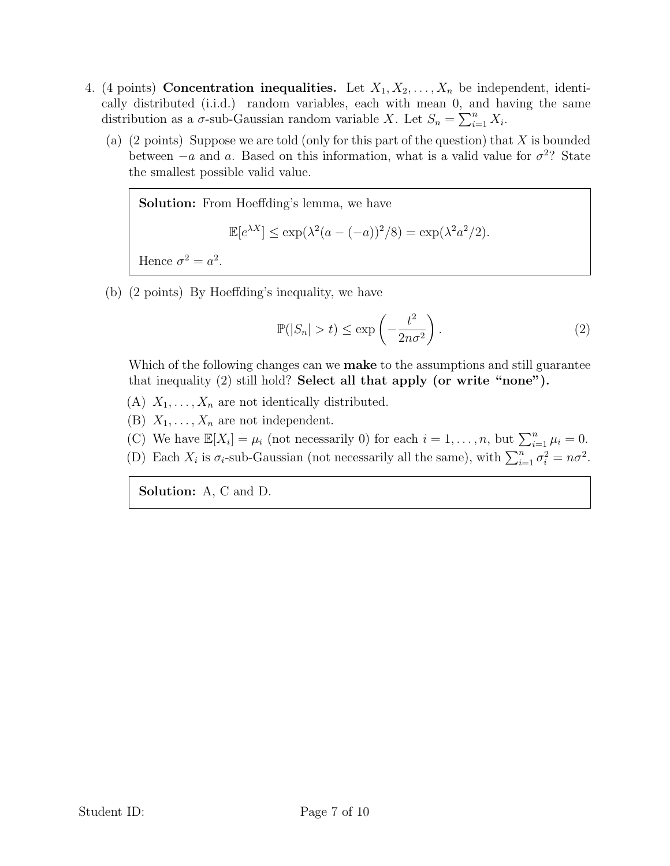- 4. (4 points) Concentration inequalities. Let  $X_1, X_2, \ldots, X_n$  be independent, identically distributed (i.i.d.) random variables, each with mean 0, and having the same distribution as a  $\sigma$ -sub-Gaussian random variable X. Let  $S_n = \sum_{i=1}^n X_i$ .
	- (a) (2 points) Suppose we are told (only for this part of the question) that  $X$  is bounded between  $-a$  and a. Based on this information, what is a valid value for  $\sigma^2$ ? State the smallest possible valid value.

Solution: From Hoeffding's lemma, we have  $\mathbb{E}[e^{\lambda X}] \le \exp(\lambda^2(a - (-a))^2/8) = \exp(\lambda^2 a^2/2).$ Hence  $\sigma^2 = a^2$ .

(b) (2 points) By Hoeffding's inequality, we have

$$
\mathbb{P}(|S_n| > t) \le \exp\left(-\frac{t^2}{2n\sigma^2}\right). \tag{2}
$$

Which of the following changes can we **make** to the assumptions and still guarantee that inequality (2) still hold? Select all that apply (or write "none").

- (A)  $X_1, \ldots, X_n$  are not identically distributed.
- (B)  $X_1, \ldots, X_n$  are not independent.
- (C) We have  $\mathbb{E}[X_i] = \mu_i$  (not necessarily 0) for each  $i = 1, ..., n$ , but  $\sum_{i=1}^n \mu_i = 0$ .
- (D) Each  $X_i$  is  $\sigma_i$ -sub-Gaussian (not necessarily all the same), with  $\sum_{i=1}^n \sigma_i^2 = n\sigma^2$ .

Solution: A, C and D.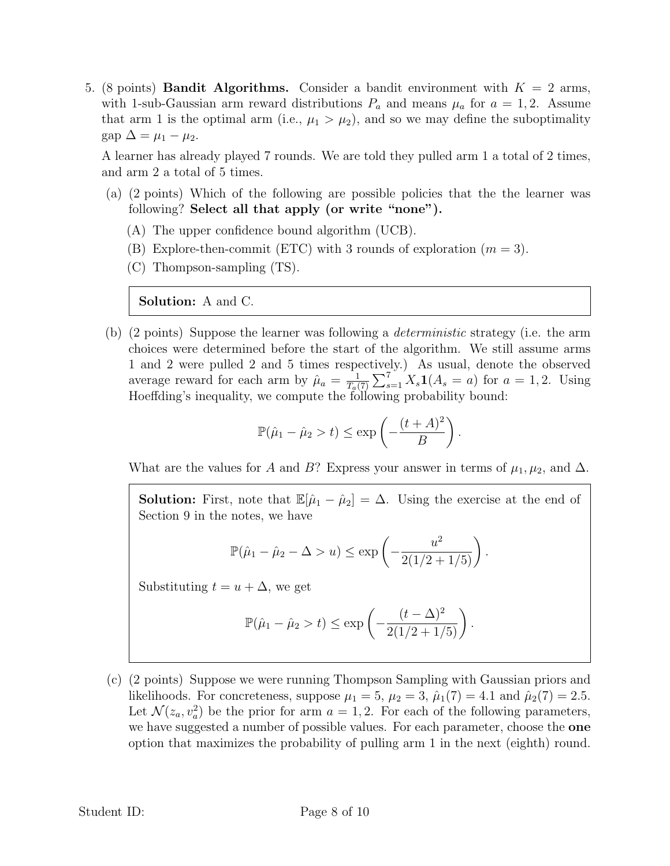5. (8 points) **Bandit Algorithms.** Consider a bandit environment with  $K = 2$  arms, with 1-sub-Gaussian arm reward distributions  $P_a$  and means  $\mu_a$  for  $a = 1, 2$ . Assume that arm 1 is the optimal arm (i.e.,  $\mu_1 > \mu_2$ ), and so we may define the suboptimality  $\text{gap } \Delta = \mu_1 - \mu_2.$ 

A learner has already played 7 rounds. We are told they pulled arm 1 a total of 2 times, and arm 2 a total of 5 times.

- (a) (2 points) Which of the following are possible policies that the the learner was following? Select all that apply (or write "none").
	- (A) The upper confidence bound algorithm (UCB).
	- (B) Explore-then-commit (ETC) with 3 rounds of exploration  $(m = 3)$ .
	- (C) Thompson-sampling (TS).

Solution: A and C.

(b) (2 points) Suppose the learner was following a deterministic strategy (i.e. the arm choices were determined before the start of the algorithm. We still assume arms 1 and 2 were pulled 2 and 5 times respectively.) As usual, denote the observed average reward for each arm by  $\hat{\mu}_a = \frac{1}{T_a}$  $\frac{1}{T_a(7)} \sum_{s=1}^{7} X_s \mathbf{1}(A_s = a)$  for  $a = 1, 2$ . Using Hoeffding's inequality, we compute the following probability bound:

$$
\mathbb{P}(\hat{\mu}_1 - \hat{\mu}_2 > t) \le \exp\left(-\frac{(t+A)^2}{B}\right).
$$

What are the values for A and B? Express your answer in terms of  $\mu_1, \mu_2$ , and  $\Delta$ .

**Solution:** First, note that  $\mathbb{E}[\hat{\mu}_1 - \hat{\mu}_2] = \Delta$ . Using the exercise at the end of Section 9 in the notes, we have

$$
\mathbb{P}(\hat{\mu}_1 - \hat{\mu}_2 - \Delta > u) \le \exp\left(-\frac{u^2}{2(1/2 + 1/5)}\right).
$$

Substituting  $t = u + \Delta$ , we get

$$
\mathbb{P}(\hat{\mu}_1 - \hat{\mu}_2 > t) \le \exp\left(-\frac{(t - \Delta)^2}{2(1/2 + 1/5)}\right).
$$

(c) (2 points) Suppose we were running Thompson Sampling with Gaussian priors and likelihoods. For concreteness, suppose  $\mu_1 = 5$ ,  $\mu_2 = 3$ ,  $\hat{\mu}_1(7) = 4.1$  and  $\hat{\mu}_2(7) = 2.5$ . Let  $\mathcal{N}(z_a, v_a^2)$  be the prior for arm  $a = 1, 2$ . For each of the following parameters, we have suggested a number of possible values. For each parameter, choose the **one** option that maximizes the probability of pulling arm 1 in the next (eighth) round.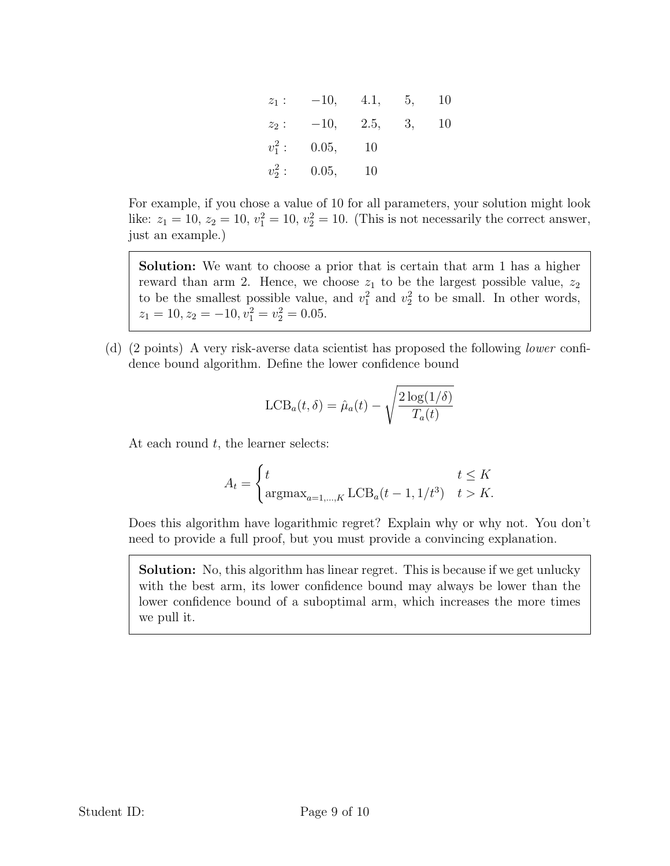| $z_1$ :   | $-10,$ | 4.1, | 5. | 10 |
|-----------|--------|------|----|----|
| $z_2$ :   | $-10,$ | 2.5, | 3, | 10 |
| $v_1^2$ : | 0.05,  | 10   |    |    |
| $v_2^2$ : | 0.05,  | 10   |    |    |

For example, if you chose a value of 10 for all parameters, your solution might look like:  $z_1 = 10$ ,  $z_2 = 10$ ,  $v_1^2 = 10$ ,  $v_2^2 = 10$ . (This is not necessarily the correct answer, just an example.)

Solution: We want to choose a prior that is certain that arm 1 has a higher reward than arm 2. Hence, we choose  $z_1$  to be the largest possible value,  $z_2$ to be the smallest possible value, and  $v_1^2$  and  $v_2^2$  to be small. In other words,  $z_1 = 10, z_2 = -10, v_1^2 = v_2^2 = 0.05.$ 

(d) (2 points) A very risk-averse data scientist has proposed the following lower confidence bound algorithm. Define the lower confidence bound

$$
LCB_a(t, \delta) = \hat{\mu}_a(t) - \sqrt{\frac{2 \log(1/\delta)}{T_a(t)}}
$$

At each round  $t$ , the learner selects:

$$
A_t = \begin{cases} t & t \leq K \\ \operatorname{argmax}_{a=1,\dots,K} \operatorname{LCB}_a(t-1,1/t^3) & t > K. \end{cases}
$$

Does this algorithm have logarithmic regret? Explain why or why not. You don't need to provide a full proof, but you must provide a convincing explanation.

Solution: No, this algorithm has linear regret. This is because if we get unlucky with the best arm, its lower confidence bound may always be lower than the lower confidence bound of a suboptimal arm, which increases the more times we pull it.